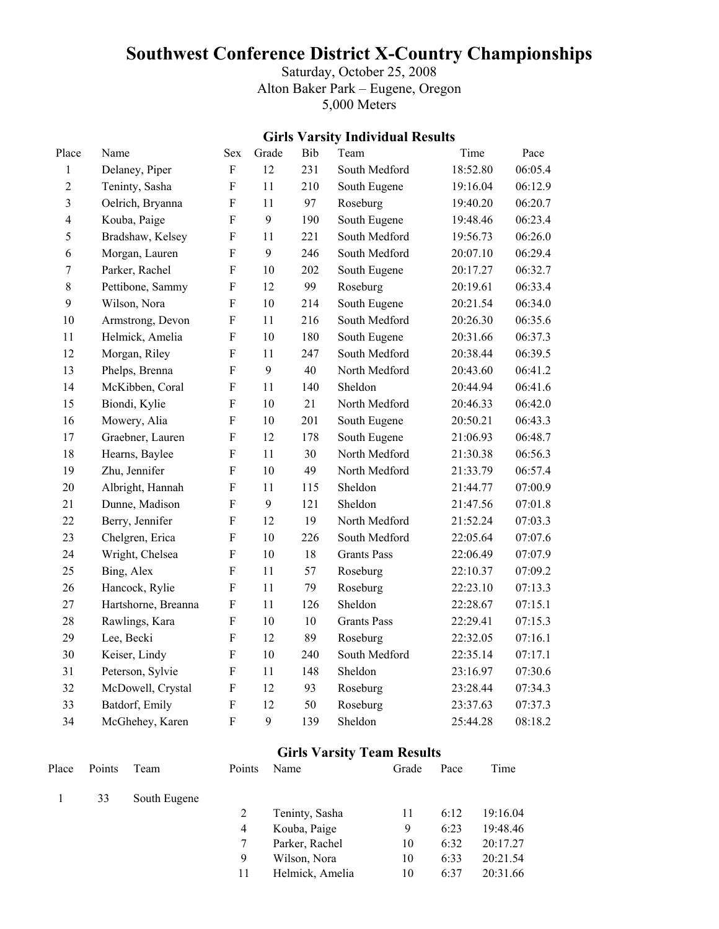# **Southwest Conference District X-Country Championships**

Saturday, October 25, 2008 Alton Baker Park – Eugene, Oregon 5,000 Meters

#### **Girls Varsity Individual Results**

| Place                   | Name                | <b>Sex</b>                | Grade | Bib | Team               | Time     | Pace    |
|-------------------------|---------------------|---------------------------|-------|-----|--------------------|----------|---------|
| $\mathbf{1}$            | Delaney, Piper      | $\overline{F}$            | 12    | 231 | South Medford      | 18:52.80 | 06:05.4 |
| $\overline{2}$          | Teninty, Sasha      | $\mathbf F$               | 11    | 210 | South Eugene       | 19:16.04 | 06:12.9 |
| $\overline{\mathbf{3}}$ | Oelrich, Bryanna    | $\rm F$                   | 11    | 97  | Roseburg           | 19:40.20 | 06:20.7 |
| $\overline{4}$          | Kouba, Paige        | ${\bf F}$                 | 9     | 190 | South Eugene       | 19:48.46 | 06:23.4 |
| 5                       | Bradshaw, Kelsey    | F                         | 11    | 221 | South Medford      | 19:56.73 | 06:26.0 |
| 6                       | Morgan, Lauren      | $\overline{F}$            | 9     | 246 | South Medford      | 20:07.10 | 06:29.4 |
| $\boldsymbol{7}$        | Parker, Rachel      | $\boldsymbol{\mathrm{F}}$ | 10    | 202 | South Eugene       | 20:17.27 | 06:32.7 |
| 8                       | Pettibone, Sammy    | $\boldsymbol{\mathrm{F}}$ | 12    | 99  | Roseburg           | 20:19.61 | 06:33.4 |
| 9                       | Wilson, Nora        | $\mathbf F$               | 10    | 214 | South Eugene       | 20:21.54 | 06:34.0 |
| 10                      | Armstrong, Devon    | ${\bf F}$                 | 11    | 216 | South Medford      | 20:26.30 | 06:35.6 |
| 11                      | Helmick, Amelia     | $\boldsymbol{\mathrm{F}}$ | 10    | 180 | South Eugene       | 20:31.66 | 06:37.3 |
| 12                      | Morgan, Riley       | $\overline{F}$            | 11    | 247 | South Medford      | 20:38.44 | 06:39.5 |
| 13                      | Phelps, Brenna      | $\overline{F}$            | 9     | 40  | North Medford      | 20:43.60 | 06:41.2 |
| 14                      | McKibben, Coral     | $\overline{F}$            | 11    | 140 | Sheldon            | 20:44.94 | 06:41.6 |
| 15                      | Biondi, Kylie       | ${\bf F}$                 | 10    | 21  | North Medford      | 20:46.33 | 06:42.0 |
| 16                      | Mowery, Alia        | $\overline{F}$            | 10    | 201 | South Eugene       | 20:50.21 | 06:43.3 |
| 17                      | Graebner, Lauren    | $\mathbf F$               | 12    | 178 | South Eugene       | 21:06.93 | 06:48.7 |
| 18                      | Hearns, Baylee      | F                         | 11    | 30  | North Medford      | 21:30.38 | 06:56.3 |
| 19                      | Zhu, Jennifer       | ${\bf F}$                 | 10    | 49  | North Medford      | 21:33.79 | 06:57.4 |
| 20                      | Albright, Hannah    | $\mathbf F$               | 11    | 115 | Sheldon            | 21:44.77 | 07:00.9 |
| 21                      | Dunne, Madison      | $\rm F$                   | 9     | 121 | Sheldon            | 21:47.56 | 07:01.8 |
| 22                      | Berry, Jennifer     | $\mathbf F$               | 12    | 19  | North Medford      | 21:52.24 | 07:03.3 |
| 23                      | Chelgren, Erica     | $\mathbf F$               | 10    | 226 | South Medford      | 22:05.64 | 07:07.6 |
| 24                      | Wright, Chelsea     | $\boldsymbol{\mathrm{F}}$ | 10    | 18  | <b>Grants Pass</b> | 22:06.49 | 07:07.9 |
| 25                      | Bing, Alex          | ${\bf F}$                 | 11    | 57  | Roseburg           | 22:10.37 | 07:09.2 |
| 26                      | Hancock, Rylie      | $\mathbf F$               | 11    | 79  | Roseburg           | 22:23.10 | 07:13.3 |
| 27                      | Hartshorne, Breanna | $\mathbf F$               | 11    | 126 | Sheldon            | 22:28.67 | 07:15.1 |
| 28                      | Rawlings, Kara      | ${\bf F}$                 | 10    | 10  | <b>Grants Pass</b> | 22:29.41 | 07:15.3 |
| 29                      | Lee, Becki          | $\overline{F}$            | 12    | 89  | Roseburg           | 22:32.05 | 07:16.1 |
| 30                      | Keiser, Lindy       | $\mathbf F$               | 10    | 240 | South Medford      | 22:35.14 | 07:17.1 |
| 31                      | Peterson, Sylvie    | $\boldsymbol{\mathrm{F}}$ | 11    | 148 | Sheldon            | 23:16.97 | 07:30.6 |
| 32                      | McDowell, Crystal   | ${\bf F}$                 | 12    | 93  | Roseburg           | 23:28.44 | 07:34.3 |
| 33                      | Batdorf, Emily      | $\rm F$                   | 12    | 50  | Roseburg           | 23:37.63 | 07:37.3 |
| 34                      | McGhehey, Karen     | $\overline{F}$            | 9     | 139 | Sheldon            | 25:44.28 | 08:18.2 |

#### **Girls Varsity Team Results**

| Place | Points | Team         | Points | Name            | Grade | Pace | Time     |
|-------|--------|--------------|--------|-----------------|-------|------|----------|
|       | 33     | South Eugene |        |                 |       |      |          |
|       |        |              |        | Teninty, Sasha  | 11    | 6:12 | 19:16.04 |
|       |        |              | 4      | Kouba, Paige    | 9     | 6:23 | 19:48.46 |
|       |        |              | 7      | Parker, Rachel  | 10    | 6:32 | 20:17.27 |
|       |        |              | 9      | Wilson, Nora    | 10    | 6:33 | 20:21.54 |
|       |        |              | 11     | Helmick, Amelia | 10    | 6:37 | 20:31.66 |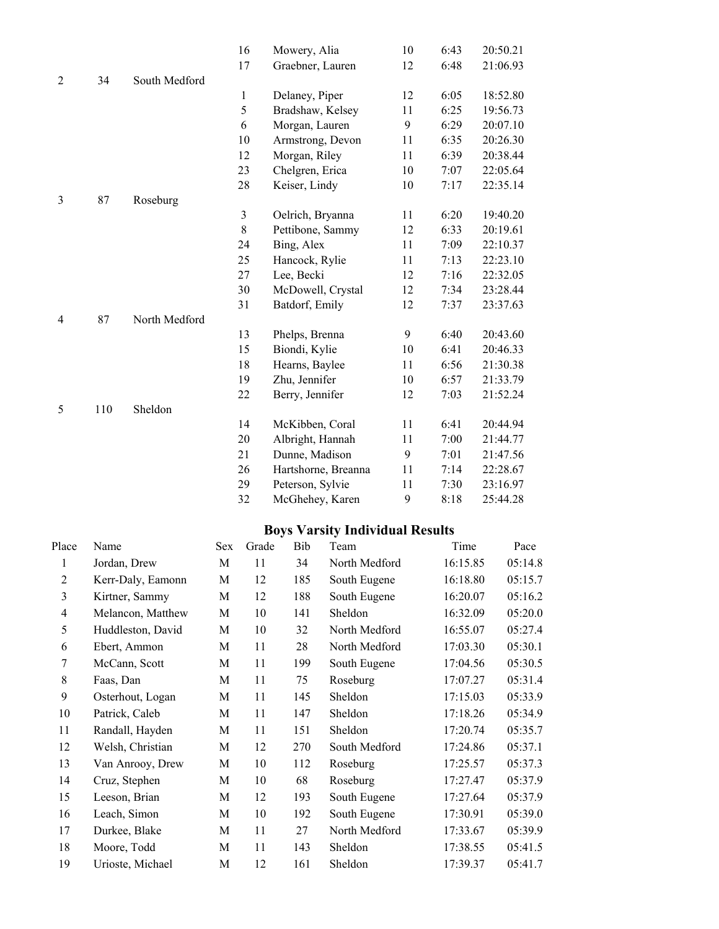|                |     |               | 16             | Mowery, Alia        | 10 | 6:43 | 20:50.21 |
|----------------|-----|---------------|----------------|---------------------|----|------|----------|
|                |     |               | 17             | Graebner, Lauren    | 12 | 6:48 | 21:06.93 |
| $\overline{2}$ | 34  | South Medford |                |                     |    |      |          |
|                |     |               | $\mathbf{1}$   | Delaney, Piper      | 12 | 6:05 | 18:52.80 |
|                |     |               | 5              | Bradshaw, Kelsey    | 11 | 6:25 | 19:56.73 |
|                |     |               | 6              | Morgan, Lauren      | 9  | 6:29 | 20:07.10 |
|                |     |               | 10             | Armstrong, Devon    | 11 | 6:35 | 20:26.30 |
|                |     |               | 12             | Morgan, Riley       | 11 | 6:39 | 20:38.44 |
|                |     |               | 23             | Chelgren, Erica     | 10 | 7:07 | 22:05.64 |
|                |     |               | 28             | Keiser, Lindy       | 10 | 7:17 | 22:35.14 |
| 3              | 87  | Roseburg      |                |                     |    |      |          |
|                |     |               | $\mathfrak{Z}$ | Oelrich, Bryanna    | 11 | 6:20 | 19:40.20 |
|                |     |               | $8\,$          | Pettibone, Sammy    | 12 | 6:33 | 20:19.61 |
|                |     |               | 24             | Bing, Alex          | 11 | 7:09 | 22:10.37 |
|                |     |               | 25             | Hancock, Rylie      | 11 | 7:13 | 22:23.10 |
|                |     |               | 27             | Lee, Becki          | 12 | 7:16 | 22:32.05 |
|                |     |               | 30             | McDowell, Crystal   | 12 | 7:34 | 23:28.44 |
|                |     |               | 31             | Batdorf, Emily      | 12 | 7:37 | 23:37.63 |
| $\overline{4}$ | 87  | North Medford |                |                     |    |      |          |
|                |     |               | 13             | Phelps, Brenna      | 9  | 6:40 | 20:43.60 |
|                |     |               | 15             | Biondi, Kylie       | 10 | 6:41 | 20:46.33 |
|                |     |               | 18             | Hearns, Baylee      | 11 | 6:56 | 21:30.38 |
|                |     |               | 19             | Zhu, Jennifer       | 10 | 6:57 | 21:33.79 |
|                |     |               | 22             | Berry, Jennifer     | 12 | 7:03 | 21:52.24 |
| 5              | 110 | Sheldon       |                |                     |    |      |          |
|                |     |               | 14             | McKibben, Coral     | 11 | 6:41 | 20:44.94 |
|                |     |               | 20             | Albright, Hannah    | 11 | 7:00 | 21:44.77 |
|                |     |               | 21             | Dunne, Madison      | 9  | 7:01 | 21:47.56 |
|                |     |               | 26             | Hartshorne, Breanna | 11 | 7:14 | 22:28.67 |
|                |     |               | 29             | Peterson, Sylvie    | 11 | 7:30 | 23:16.97 |
|                |     |               | 32             | McGhehey, Karen     | 9  | 8:18 | 25:44.28 |
|                |     |               |                |                     |    |      |          |

## **Boys Varsity Individual Results**

| Place          | Name              | Sex | Grade | Bib | Team          | Time     | Pace    |
|----------------|-------------------|-----|-------|-----|---------------|----------|---------|
| 1              | Jordan, Drew      | M   | 11    | 34  | North Medford | 16:15.85 | 05:14.8 |
| $\overline{2}$ | Kerr-Daly, Eamonn | M   | 12    | 185 | South Eugene  | 16:18.80 | 05:15.7 |
| 3              | Kirtner, Sammy    | M   | 12    | 188 | South Eugene  | 16:20.07 | 05:16.2 |
| $\overline{4}$ | Melancon, Matthew | M   | 10    | 141 | Sheldon       | 16:32.09 | 05:20.0 |
| 5              | Huddleston, David | M   | 10    | 32  | North Medford | 16:55.07 | 05:27.4 |
| 6              | Ebert, Ammon      | M   | 11    | 28  | North Medford | 17:03.30 | 05:30.1 |
| 7              | McCann, Scott     | M   | 11    | 199 | South Eugene  | 17:04.56 | 05:30.5 |
| 8              | Faas, Dan         | M   | 11    | 75  | Roseburg      | 17:07.27 | 05:31.4 |
| 9              | Osterhout, Logan  | M   | 11    | 145 | Sheldon       | 17:15.03 | 05:33.9 |
| 10             | Patrick, Caleb    | M   | 11    | 147 | Sheldon       | 17:18.26 | 05:34.9 |
| 11             | Randall, Hayden   | M   | 11    | 151 | Sheldon       | 17:20.74 | 05:35.7 |
| 12             | Welsh, Christian  | M   | 12    | 270 | South Medford | 17:24.86 | 05:37.1 |
| 13             | Van Anrooy, Drew  | M   | 10    | 112 | Roseburg      | 17:25.57 | 05:37.3 |
| 14             | Cruz, Stephen     | M   | 10    | 68  | Roseburg      | 17:27.47 | 05:37.9 |
| 15             | Leeson, Brian     | M   | 12    | 193 | South Eugene  | 17:27.64 | 05:37.9 |
| 16             | Leach, Simon      | M   | 10    | 192 | South Eugene  | 17:30.91 | 05:39.0 |
| 17             | Durkee, Blake     | M   | 11    | 27  | North Medford | 17:33.67 | 05:39.9 |
| 18             | Moore, Todd       | M   | 11    | 143 | Sheldon       | 17:38.55 | 05:41.5 |
| 19             | Urioste, Michael  | M   | 12    | 161 | Sheldon       | 17:39.37 | 05:41.7 |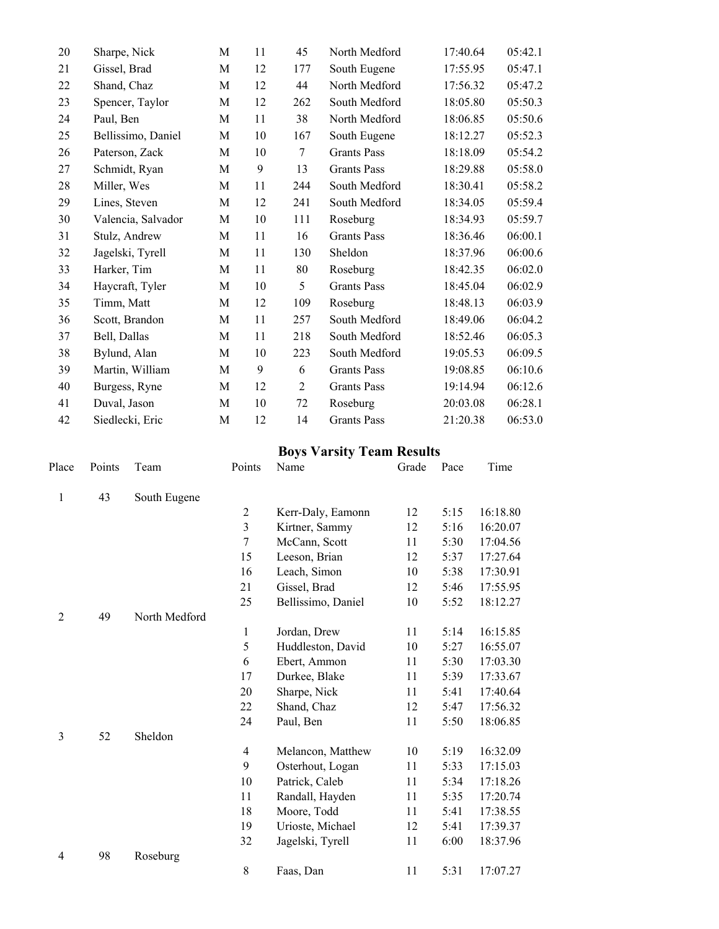| 20 | Sharpe, Nick       | М           | 11 | 45             | North Medford      | 17:40.64 | 05:42.1 |
|----|--------------------|-------------|----|----------------|--------------------|----------|---------|
| 21 | Gissel, Brad       | M           | 12 | 177            | South Eugene       | 17:55.95 | 05:47.1 |
| 22 | Shand, Chaz        | M           | 12 | 44             | North Medford      | 17:56.32 | 05:47.2 |
| 23 | Spencer, Taylor    | M           | 12 | 262            | South Medford      | 18:05.80 | 05:50.3 |
| 24 | Paul, Ben          | M           | 11 | 38             | North Medford      | 18:06.85 | 05:50.6 |
| 25 | Bellissimo, Daniel | M           | 10 | 167            | South Eugene       | 18:12.27 | 05:52.3 |
| 26 | Paterson, Zack     | M           | 10 | 7              | <b>Grants Pass</b> | 18:18.09 | 05:54.2 |
| 27 | Schmidt, Ryan      | M           | 9  | 13             | <b>Grants Pass</b> | 18:29.88 | 05:58.0 |
| 28 | Miller, Wes        | M           | 11 | 244            | South Medford      | 18:30.41 | 05:58.2 |
| 29 | Lines, Steven      | M           | 12 | 241            | South Medford      | 18:34.05 | 05:59.4 |
| 30 | Valencia, Salvador | M           | 10 | 111            | Roseburg           | 18:34.93 | 05:59.7 |
| 31 | Stulz, Andrew      | M           | 11 | 16             | <b>Grants Pass</b> | 18:36.46 | 06:00.1 |
| 32 | Jagelski, Tyrell   | M           | 11 | 130            | Sheldon            | 18:37.96 | 06:00.6 |
| 33 | Harker, Tim        | M           | 11 | 80             | Roseburg           | 18:42.35 | 06:02.0 |
| 34 | Haycraft, Tyler    | M           | 10 | 5              | <b>Grants Pass</b> | 18:45.04 | 06:02.9 |
| 35 | Timm, Matt         | M           | 12 | 109            | Roseburg           | 18:48.13 | 06:03.9 |
| 36 | Scott, Brandon     | M           | 11 | 257            | South Medford      | 18:49.06 | 06:04.2 |
| 37 | Bell, Dallas       | M           | 11 | 218            | South Medford      | 18:52.46 | 06:05.3 |
| 38 | Bylund, Alan       | $\mathbf M$ | 10 | 223            | South Medford      | 19:05.53 | 06:09.5 |
| 39 | Martin, William    | M           | 9  | 6              | <b>Grants Pass</b> | 19:08.85 | 06:10.6 |
| 40 | Burgess, Ryne      | M           | 12 | $\overline{2}$ | <b>Grants Pass</b> | 19:14.94 | 06:12.6 |
| 41 | Duval, Jason       | M           | 10 | 72             | Roseburg           | 20:03.08 | 06:28.1 |
| 42 | Siedlecki, Eric    | M           | 12 | 14             | <b>Grants Pass</b> | 21:20.38 | 06:53.0 |

#### **Boys Varsity Team Results**

| Place          | Points | Team          | Points         | Name               | Grade | Pace | Time     |
|----------------|--------|---------------|----------------|--------------------|-------|------|----------|
| $\mathbf{1}$   | 43     | South Eugene  |                |                    |       |      |          |
|                |        |               | $\overline{2}$ | Kerr-Daly, Eamonn  | 12    | 5:15 | 16:18.80 |
|                |        |               | $\mathfrak{Z}$ | Kirtner, Sammy     | 12    | 5:16 | 16:20.07 |
|                |        |               | $\tau$         | McCann, Scott      | 11    | 5:30 | 17:04.56 |
|                |        |               | 15             | Leeson, Brian      | 12    | 5:37 | 17:27.64 |
|                |        |               | 16             | Leach, Simon       | 10    | 5:38 | 17:30.91 |
|                |        |               | 21             | Gissel, Brad       | 12    | 5:46 | 17:55.95 |
|                |        |               | 25             | Bellissimo, Daniel | 10    | 5:52 | 18:12.27 |
| $\overline{2}$ | 49     | North Medford |                |                    |       |      |          |
|                |        |               | 1              | Jordan, Drew       | 11    | 5:14 | 16:15.85 |
|                |        |               | 5              | Huddleston, David  | 10    | 5:27 | 16:55.07 |
|                |        |               | 6              | Ebert, Ammon       | 11    | 5:30 | 17:03.30 |
|                |        |               | 17             | Durkee, Blake      | 11    | 5:39 | 17:33.67 |
|                |        |               | 20             | Sharpe, Nick       | 11    | 5:41 | 17:40.64 |
|                |        |               | 22             | Shand, Chaz        | 12    | 5:47 | 17:56.32 |
|                |        |               | 24             | Paul, Ben          | 11    | 5:50 | 18:06.85 |
| 3              | 52     | Sheldon       |                |                    |       |      |          |
|                |        |               | $\overline{4}$ | Melancon, Matthew  | 10    | 5:19 | 16:32.09 |
|                |        |               | 9              | Osterhout, Logan   | 11    | 5:33 | 17:15.03 |
|                |        |               | 10             | Patrick, Caleb     | 11    | 5:34 | 17:18.26 |
|                |        |               | 11             | Randall, Hayden    | 11    | 5:35 | 17:20.74 |
|                |        |               | 18             | Moore, Todd        | 11    | 5:41 | 17:38.55 |
|                |        |               | 19             | Urioste, Michael   | 12    | 5:41 | 17:39.37 |
|                |        |               | 32             | Jagelski, Tyrell   | 11    | 6:00 | 18:37.96 |
| 4              | 98     | Roseburg      |                |                    |       |      |          |
|                |        |               | $\,$ 8 $\,$    | Faas, Dan          | 11    | 5:31 | 17:07.27 |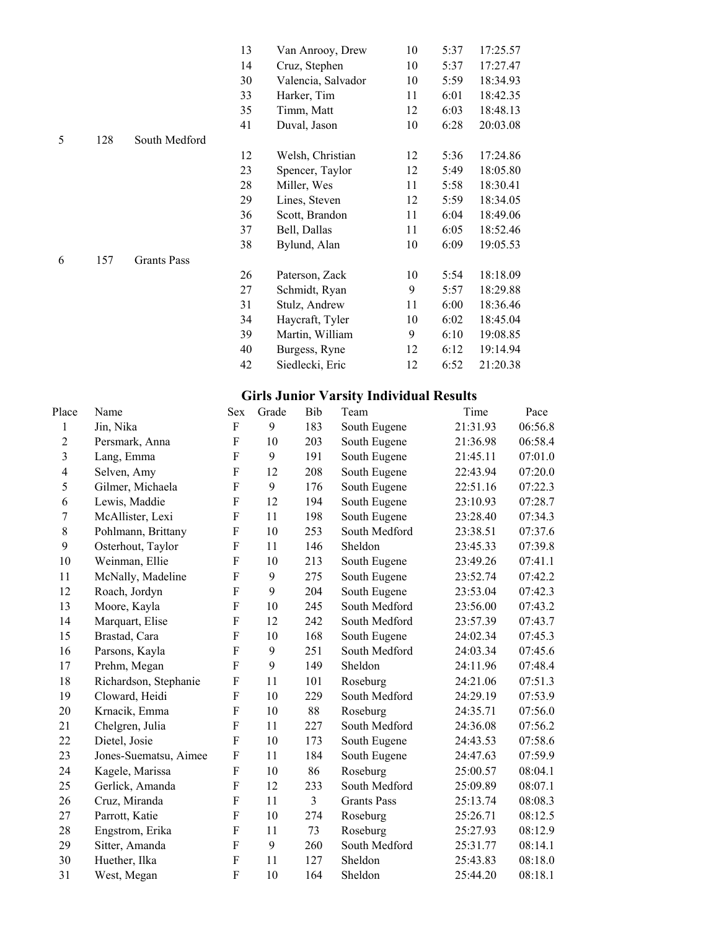|   |     |                    | 13 | Van Anrooy, Drew   | 10 | 5:37 | 17:25.57 |
|---|-----|--------------------|----|--------------------|----|------|----------|
|   |     |                    | 14 | Cruz, Stephen      | 10 | 5:37 | 17:27.47 |
|   |     |                    | 30 | Valencia, Salvador | 10 | 5:59 | 18:34.93 |
|   |     |                    | 33 | Harker, Tim        | 11 | 6:01 | 18:42.35 |
|   |     |                    | 35 | Timm, Matt         | 12 | 6:03 | 18:48.13 |
|   |     |                    | 41 | Duval, Jason       | 10 | 6:28 | 20:03.08 |
| 5 | 128 | South Medford      |    |                    |    |      |          |
|   |     |                    | 12 | Welsh, Christian   | 12 | 5:36 | 17:24.86 |
|   |     |                    | 23 | Spencer, Taylor    | 12 | 5:49 | 18:05.80 |
|   |     |                    | 28 | Miller, Wes        | 11 | 5:58 | 18:30.41 |
|   |     |                    | 29 | Lines, Steven      | 12 | 5:59 | 18:34.05 |
|   |     |                    | 36 | Scott, Brandon     | 11 | 6:04 | 18:49.06 |
|   |     |                    | 37 | Bell, Dallas       | 11 | 6:05 | 18:52.46 |
|   |     |                    | 38 | Bylund, Alan       | 10 | 6:09 | 19:05.53 |
| 6 | 157 | <b>Grants Pass</b> |    |                    |    |      |          |
|   |     |                    | 26 | Paterson, Zack     | 10 | 5:54 | 18:18.09 |
|   |     |                    | 27 | Schmidt, Ryan      | 9  | 5:57 | 18:29.88 |
|   |     |                    | 31 | Stulz, Andrew      | 11 | 6:00 | 18:36.46 |
|   |     |                    | 34 | Haycraft, Tyler    | 10 | 6:02 | 18:45.04 |
|   |     |                    | 39 | Martin, William    | 9  | 6:10 | 19:08.85 |
|   |     |                    | 40 | Burgess, Ryne      | 12 | 6:12 | 19:14.94 |
|   |     |                    | 42 | Siedlecki, Eric    | 12 | 6:52 | 21:20.38 |

## **Girls Junior Varsity Individual Results**

| Place                   | Name                  | Sex         | Grade | Bib | Team               | Time     | Pace    |
|-------------------------|-----------------------|-------------|-------|-----|--------------------|----------|---------|
| 1                       | Jin, Nika             | F           | 9     | 183 | South Eugene       | 21:31.93 | 06:56.8 |
| $\overline{2}$          | Persmark, Anna        | $\mathbf F$ | 10    | 203 | South Eugene       | 21:36.98 | 06:58.4 |
| 3                       | Lang, Emma            | $\mathbf F$ | 9     | 191 | South Eugene       | 21:45.11 | 07:01.0 |
| $\overline{\mathbf{4}}$ | Selven, Amy           | $\mathbf F$ | 12    | 208 | South Eugene       | 22:43.94 | 07:20.0 |
| 5                       | Gilmer, Michaela      | F           | 9     | 176 | South Eugene       | 22:51.16 | 07:22.3 |
| 6                       | Lewis, Maddie         | F           | 12    | 194 | South Eugene       | 23:10.93 | 07:28.7 |
| $\overline{7}$          | McAllister, Lexi      | $\mathbf F$ | 11    | 198 | South Eugene       | 23:28.40 | 07:34.3 |
| 8                       | Pohlmann, Brittany    | F           | 10    | 253 | South Medford      | 23:38.51 | 07:37.6 |
| 9                       | Osterhout, Taylor     | ${\bf F}$   | 11    | 146 | Sheldon            | 23:45.33 | 07:39.8 |
| 10                      | Weinman, Ellie        | F           | 10    | 213 | South Eugene       | 23:49.26 | 07:41.1 |
| 11                      | McNally, Madeline     | F           | 9     | 275 | South Eugene       | 23:52.74 | 07:42.2 |
| 12                      | Roach, Jordyn         | F           | 9     | 204 | South Eugene       | 23:53.04 | 07:42.3 |
| 13                      | Moore, Kayla          | ${\bf F}$   | 10    | 245 | South Medford      | 23:56.00 | 07:43.2 |
| 14                      | Marquart, Elise       | $\mathbf F$ | 12    | 242 | South Medford      | 23:57.39 | 07:43.7 |
| 15                      | Brastad, Cara         | F           | 10    | 168 | South Eugene       | 24:02.34 | 07:45.3 |
| 16                      | Parsons, Kayla        | $\mathbf F$ | 9     | 251 | South Medford      | 24:03.34 | 07:45.6 |
| 17                      | Prehm, Megan          | F           | 9     | 149 | Sheldon            | 24:11.96 | 07:48.4 |
| 18                      | Richardson, Stephanie | $\mathbf F$ | 11    | 101 | Roseburg           | 24:21.06 | 07:51.3 |
| 19                      | Cloward, Heidi        | $\mathbf F$ | 10    | 229 | South Medford      | 24:29.19 | 07:53.9 |
| 20                      | Krnacik, Emma         | ${\bf F}$   | 10    | 88  | Roseburg           | 24:35.71 | 07:56.0 |
| 21                      | Chelgren, Julia       | F           | 11    | 227 | South Medford      | 24:36.08 | 07:56.2 |
| 22                      | Dietel, Josie         | F           | 10    | 173 | South Eugene       | 24:43.53 | 07:58.6 |
| 23                      | Jones-Suematsu, Aimee | $\mathbf F$ | 11    | 184 | South Eugene       | 24:47.63 | 07:59.9 |
| 24                      | Kagele, Marissa       | ${\bf F}$   | 10    | 86  | Roseburg           | 25:00.57 | 08:04.1 |
| 25                      | Gerlick, Amanda       | F           | 12    | 233 | South Medford      | 25:09.89 | 08:07.1 |
| 26                      | Cruz, Miranda         | ${\bf F}$   | 11    | 3   | <b>Grants Pass</b> | 25:13.74 | 08:08.3 |
| 27                      | Parrott, Katie        | F           | 10    | 274 | Roseburg           | 25:26.71 | 08:12.5 |
| 28                      | Engstrom, Erika       | F           | 11    | 73  | Roseburg           | 25:27.93 | 08:12.9 |
| 29                      | Sitter, Amanda        | F           | 9     | 260 | South Medford      | 25:31.77 | 08:14.1 |
| 30                      | Huether, Ilka         | $\mathbf F$ | 11    | 127 | Sheldon            | 25:43.83 | 08:18.0 |
| 31                      | West, Megan           | F           | 10    | 164 | Sheldon            | 25:44.20 | 08:18.1 |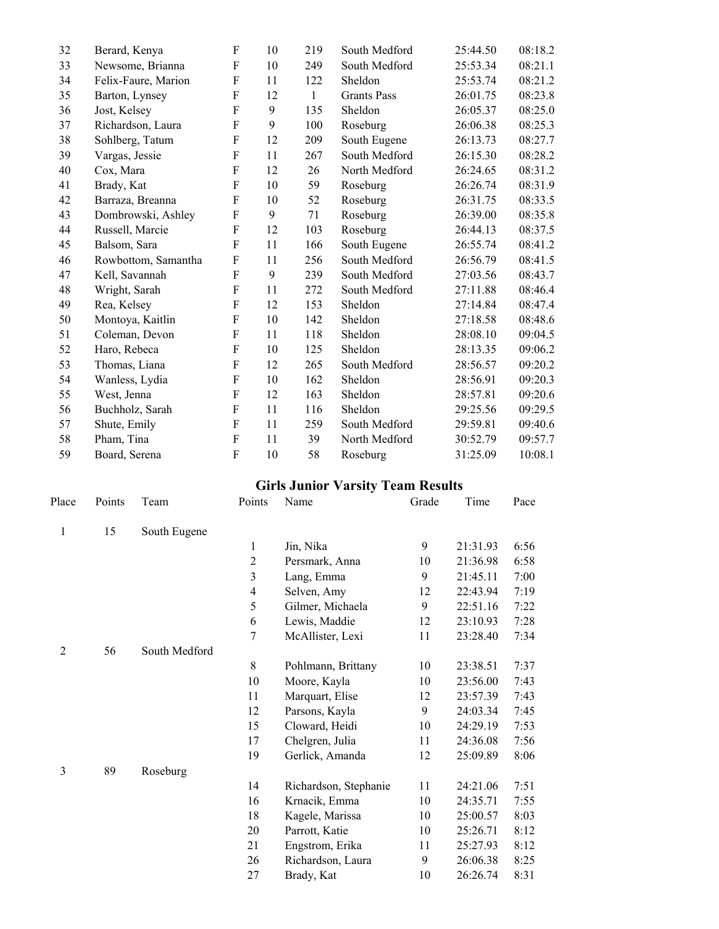| 32 | Berard, Kenya       | F           | 10 | 219          | South Medford      | 25:44.50 | 08:18.2 |
|----|---------------------|-------------|----|--------------|--------------------|----------|---------|
| 33 | Newsome, Brianna    | F           | 10 | 249          | South Medford      | 25:53.34 | 08:21.1 |
| 34 | Felix-Faure, Marion | F           | 11 | 122          | Sheldon            | 25:53.74 | 08:21.2 |
| 35 | Barton, Lynsey      | F           | 12 | $\mathbf{1}$ | <b>Grants Pass</b> | 26:01.75 | 08:23.8 |
| 36 | Jost, Kelsey        | F           | 9  | 135          | Sheldon            | 26:05.37 | 08:25.0 |
| 37 | Richardson, Laura   | F           | 9  | 100          | Roseburg           | 26:06.38 | 08:25.3 |
| 38 | Sohlberg, Tatum     | F           | 12 | 209          | South Eugene       | 26:13.73 | 08:27.7 |
| 39 | Vargas, Jessie      | F           | 11 | 267          | South Medford      | 26:15.30 | 08:28.2 |
| 40 | Cox, Mara           | F           | 12 | 26           | North Medford      | 26:24.65 | 08:31.2 |
| 41 | Brady, Kat          | F           | 10 | 59           | Roseburg           | 26:26.74 | 08:31.9 |
| 42 | Barraza, Breanna    | ${\bf F}$   | 10 | 52           | Roseburg           | 26:31.75 | 08:33.5 |
| 43 | Dombrowski, Ashley  | F           | 9  | 71           | Roseburg           | 26:39.00 | 08:35.8 |
| 44 | Russell, Marcie     | F           | 12 | 103          | Roseburg           | 26:44.13 | 08:37.5 |
| 45 | Balsom, Sara        | F           | 11 | 166          | South Eugene       | 26:55.74 | 08:41.2 |
| 46 | Rowbottom, Samantha | F           | 11 | 256          | South Medford      | 26:56.79 | 08:41.5 |
| 47 | Kell, Savannah      | F           | 9  | 239          | South Medford      | 27:03.56 | 08:43.7 |
| 48 | Wright, Sarah       | ${\bf F}$   | 11 | 272          | South Medford      | 27:11.88 | 08:46.4 |
| 49 | Rea, Kelsey         | $\mathbf F$ | 12 | 153          | Sheldon            | 27:14.84 | 08:47.4 |
| 50 | Montoya, Kaitlin    | F           | 10 | 142          | Sheldon            | 27:18.58 | 08:48.6 |
| 51 | Coleman, Devon      | F           | 11 | 118          | Sheldon            | 28:08.10 | 09:04.5 |
| 52 | Haro, Rebeca        | F           | 10 | 125          | Sheldon            | 28:13.35 | 09:06.2 |
| 53 | Thomas, Liana       | F           | 12 | 265          | South Medford      | 28:56.57 | 09:20.2 |
| 54 | Wanless, Lydia      | F           | 10 | 162          | Sheldon            | 28:56.91 | 09:20.3 |
| 55 | West, Jenna         | F           | 12 | 163          | Sheldon            | 28:57.81 | 09:20.6 |
| 56 | Buchholz, Sarah     | F           | 11 | 116          | Sheldon            | 29:25.56 | 09:29.5 |
| 57 | Shute, Emily        | F           | 11 | 259          | South Medford      | 29:59.81 | 09:40.6 |
| 58 | Pham, Tina          | F           | 11 | 39           | North Medford      | 30:52.79 | 09:57.7 |
| 59 | Board, Serena       | F           | 10 | 58           | Roseburg           | 31:25.09 | 10:08.1 |

# **Girls Junior Varsity Team Results**<br>Points Name Grade Time Pace

| Place          | Points | Team          | Points                  | Name                  | Grade | Time     | Pace |
|----------------|--------|---------------|-------------------------|-----------------------|-------|----------|------|
| 1              | 15     | South Eugene  |                         |                       |       |          |      |
|                |        |               | 1                       | Jin, Nika             | 9     | 21:31.93 | 6:56 |
|                |        |               | $\overline{2}$          | Persmark, Anna        | 10    | 21:36.98 | 6:58 |
|                |        |               | $\overline{\mathbf{3}}$ | Lang, Emma            | 9     | 21:45.11 | 7:00 |
|                |        |               | $\overline{4}$          |                       | 12    | 22:43.94 |      |
|                |        |               |                         | Selven, Amy           |       |          | 7:19 |
|                |        |               | 5                       | Gilmer, Michaela      | 9     | 22:51.16 | 7:22 |
|                |        |               | 6                       | Lewis, Maddie         | 12    | 23:10.93 | 7:28 |
|                |        |               | 7                       | McAllister, Lexi      | 11    | 23:28.40 | 7:34 |
| $\overline{2}$ | 56     | South Medford |                         |                       |       |          |      |
|                |        |               | $8\,$                   | Pohlmann, Brittany    | 10    | 23:38.51 | 7:37 |
|                |        |               | 10                      | Moore, Kayla          | 10    | 23:56.00 | 7:43 |
|                |        |               | 11                      | Marquart, Elise       | 12    | 23:57.39 | 7:43 |
|                |        |               | 12                      | Parsons, Kayla        | 9     | 24:03.34 | 7:45 |
|                |        |               | 15                      | Cloward, Heidi        | 10    | 24:29.19 | 7:53 |
|                |        |               | 17                      | Chelgren, Julia       | 11    | 24:36.08 | 7:56 |
|                |        |               | 19                      | Gerlick, Amanda       | 12    | 25:09.89 | 8:06 |
| $\mathfrak{Z}$ | 89     | Roseburg      |                         |                       |       |          |      |
|                |        |               | 14                      | Richardson, Stephanie | 11    | 24:21.06 | 7:51 |
|                |        |               | 16                      | Krnacik, Emma         | 10    | 24:35.71 | 7:55 |
|                |        |               | 18                      | Kagele, Marissa       | 10    | 25:00.57 | 8:03 |
|                |        |               | 20                      | Parrott, Katie        | 10    | 25:26.71 | 8:12 |
|                |        |               | 21                      | Engstrom, Erika       | 11    | 25:27.93 | 8:12 |
|                |        |               | 26                      | Richardson, Laura     | 9     | 26:06.38 | 8:25 |
|                |        |               | 27                      | Brady, Kat            | 10    | 26:26.74 | 8:31 |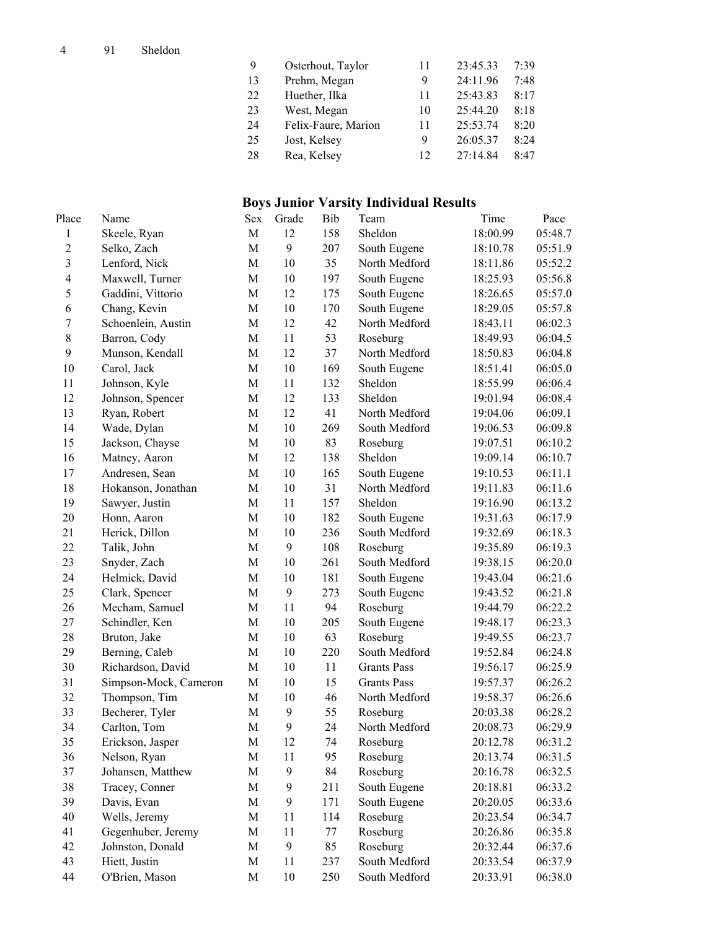| 9  | Osterhout, Taylor   |    | 23:45.33 | 7:39 |
|----|---------------------|----|----------|------|
| 13 | Prehm, Megan        | 9  | 24:11.96 | 7:48 |
| 22 | Huether, Ilka       |    | 25:43.83 | 8:17 |
| 23 | West, Megan         | 10 | 25:44.20 | 8:18 |
| 24 | Felix-Faure, Marion | 11 | 25:53.74 | 8:20 |
| 25 | Jost, Kelsey        | 9  | 26:05.37 | 8:24 |
| 28 | Rea, Kelsey         | 12 | 27:14.84 | 8:47 |

## **Boys Junior Varsity Individual Results**

| Place            | Name                  | Sex         | Grade            | Bib | Team               | Time     | Pace    |
|------------------|-----------------------|-------------|------------------|-----|--------------------|----------|---------|
| $\mathbf{1}$     | Skeele, Ryan          | M           | 12               | 158 | Sheldon            | 18:00.99 | 05:48.7 |
| $\mathbf 2$      | Selko, Zach           | M           | 9                | 207 | South Eugene       | 18:10.78 | 05:51.9 |
| $\overline{3}$   | Lenford, Nick         | M           | 10               | 35  | North Medford      | 18:11.86 | 05:52.2 |
| $\overline{4}$   | Maxwell, Turner       | M           | 10               | 197 | South Eugene       | 18:25.93 | 05:56.8 |
| 5                | Gaddini, Vittorio     | M           | 12               | 175 | South Eugene       | 18:26.65 | 05:57.0 |
| 6                | Chang, Kevin          | $\mathbf M$ | 10               | 170 | South Eugene       | 18:29.05 | 05:57.8 |
| $\boldsymbol{7}$ | Schoenlein, Austin    | M           | 12               | 42  | North Medford      | 18:43.11 | 06:02.3 |
| $\,$ $\,$        | Barron, Cody          | $\mathbf M$ | 11               | 53  | Roseburg           | 18:49.93 | 06:04.5 |
| 9                | Munson, Kendall       | $\mathbf M$ | 12               | 37  | North Medford      | 18:50.83 | 06:04.8 |
| $10\,$           | Carol, Jack           | M           | 10               | 169 | South Eugene       | 18:51.41 | 06:05.0 |
| 11               | Johnson, Kyle         | M           | 11               | 132 | Sheldon            | 18:55.99 | 06:06.4 |
| 12               | Johnson, Spencer      | M           | 12               | 133 | Sheldon            | 19:01.94 | 06:08.4 |
| 13               | Ryan, Robert          | M           | 12               | 41  | North Medford      | 19:04.06 | 06:09.1 |
| 14               | Wade, Dylan           | $\mathbf M$ | 10               | 269 | South Medford      | 19:06.53 | 06:09.8 |
| 15               | Jackson, Chayse       | $\mathbf M$ | 10               | 83  | Roseburg           | 19:07.51 | 06:10.2 |
| 16               | Matney, Aaron         | $\mathbf M$ | 12               | 138 | Sheldon            | 19:09.14 | 06:10.7 |
| 17               | Andresen, Sean        | M           | 10               | 165 | South Eugene       | 19:10.53 | 06:11.1 |
| 18               | Hokanson, Jonathan    | $\mathbf M$ | 10               | 31  | North Medford      | 19:11.83 | 06:11.6 |
| 19               | Sawyer, Justin        | M           | 11               | 157 | Sheldon            | 19:16.90 | 06:13.2 |
| $20\,$           | Honn, Aaron           | M           | 10               | 182 | South Eugene       | 19:31.63 | 06:17.9 |
| 21               | Herick, Dillon        | M           | 10               | 236 | South Medford      | 19:32.69 | 06:18.3 |
| 22               | Talik, John           | $\mathbf M$ | 9                | 108 | Roseburg           | 19:35.89 | 06:19.3 |
| 23               | Snyder, Zach          | M           | 10               | 261 | South Medford      | 19:38.15 | 06:20.0 |
| 24               | Helmick, David        | $\mathbf M$ | 10               | 181 | South Eugene       | 19:43.04 | 06:21.6 |
| 25               | Clark, Spencer        | M           | 9                | 273 | South Eugene       | 19:43.52 | 06:21.8 |
| 26               | Mecham, Samuel        | M           | 11               | 94  | Roseburg           | 19:44.79 | 06:22.2 |
| 27               | Schindler, Ken        | M           | 10               | 205 | South Eugene       | 19:48.17 | 06:23.3 |
| 28               | Bruton, Jake          | M           | 10               | 63  | Roseburg           | 19:49.55 | 06:23.7 |
| 29               | Berning, Caleb        | M           | 10               | 220 | South Medford      | 19:52.84 | 06:24.8 |
| 30               | Richardson, David     | $\mathbf M$ | 10               | 11  | <b>Grants Pass</b> | 19:56.17 | 06:25.9 |
| 31               | Simpson-Mock, Cameron | M           | 10               | 15  | <b>Grants Pass</b> | 19:57.37 | 06:26.2 |
| 32               | Thompson, Tim         | $\mathbf M$ | 10               | 46  | North Medford      | 19:58.37 | 06:26.6 |
| 33               | Becherer, Tyler       | M           | 9                | 55  | Roseburg           | 20:03.38 | 06:28.2 |
| 34               | Carlton, Tom          | M           | 9                | 24  | North Medford      | 20:08.73 | 06:29.9 |
| 35               | Erickson, Jasper      | M           | 12               | 74  | Roseburg           | 20:12.78 | 06:31.2 |
| 36               | Nelson, Ryan          | M           | 11               | 95  | Roseburg           | 20:13.74 | 06:31.5 |
| 37               | Johansen, Matthew     | M           | 9                | 84  | Roseburg           | 20:16.78 | 06:32.5 |
| 38               | Tracey, Conner        | $\mathbf M$ | 9                | 211 | South Eugene       | 20:18.81 | 06:33.2 |
| 39               | Davis, Evan           | $\mathbf M$ | $\boldsymbol{9}$ | 171 | South Eugene       | 20:20.05 | 06:33.6 |
| 40               | Wells, Jeremy         | $\mathbf M$ | 11               | 114 | Roseburg           | 20:23.54 | 06:34.7 |
| 41               | Gegenhuber, Jeremy    | $\mathbf M$ | 11               | 77  | Roseburg           | 20:26.86 | 06:35.8 |
| 42               | Johnston, Donald      | $\mathbf M$ | 9                | 85  | Roseburg           | 20:32.44 | 06:37.6 |
| 43               | Hiett, Justin         | M           | 11               | 237 | South Medford      | 20:33.54 | 06:37.9 |
| 44               | O'Brien, Mason        | M           | 10               | 250 | South Medford      | 20:33.91 | 06:38.0 |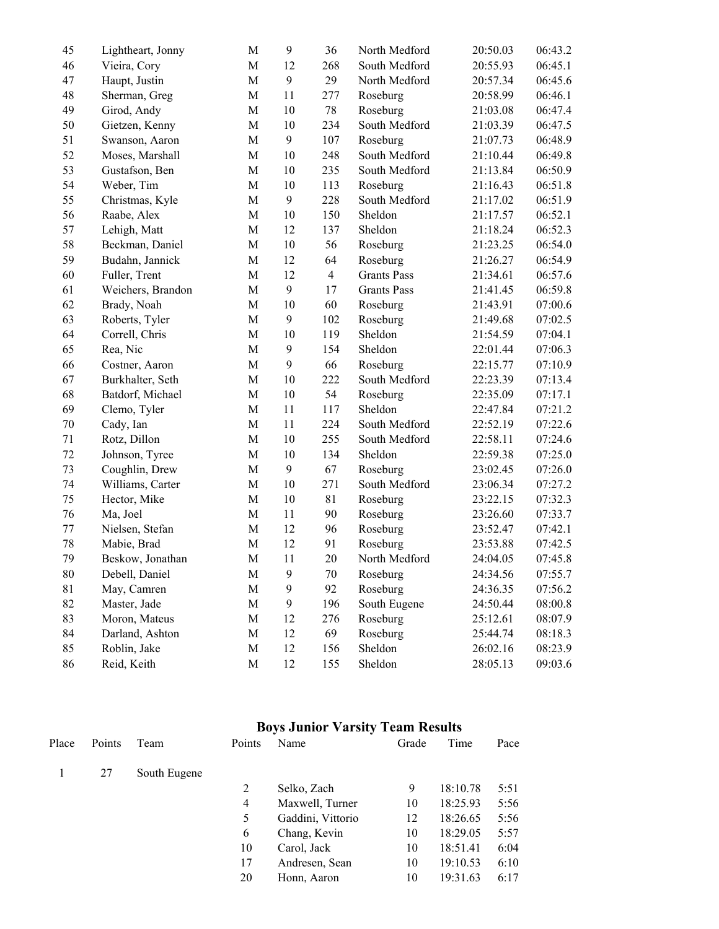| 45 | Lightheart, Jonny | M           | 9                | 36             | North Medford      | 20:50.03 | 06:43.2 |
|----|-------------------|-------------|------------------|----------------|--------------------|----------|---------|
| 46 | Vieira, Cory      | $\mathbf M$ | 12               | 268            | South Medford      | 20:55.93 | 06:45.1 |
| 47 | Haupt, Justin     | M           | 9                | 29             | North Medford      | 20:57.34 | 06:45.6 |
| 48 | Sherman, Greg     | $\mathbf M$ | 11               | 277            | Roseburg           | 20:58.99 | 06:46.1 |
| 49 | Girod, Andy       | $\mathbf M$ | 10               | 78             | Roseburg           | 21:03.08 | 06:47.4 |
| 50 | Gietzen, Kenny    | $\mathbf M$ | 10               | 234            | South Medford      | 21:03.39 | 06:47.5 |
| 51 | Swanson, Aaron    | M           | 9                | 107            | Roseburg           | 21:07.73 | 06:48.9 |
| 52 | Moses, Marshall   | $\mathbf M$ | 10               | 248            | South Medford      | 21:10.44 | 06:49.8 |
| 53 | Gustafson, Ben    | $\mathbf M$ | 10               | 235            | South Medford      | 21:13.84 | 06:50.9 |
| 54 | Weber, Tim        | $\mathbf M$ | 10               | 113            | Roseburg           | 21:16.43 | 06:51.8 |
| 55 | Christmas, Kyle   | $\mathbf M$ | 9                | 228            | South Medford      | 21:17.02 | 06:51.9 |
| 56 | Raabe, Alex       | $\mathbf M$ | 10               | 150            | Sheldon            | 21:17.57 | 06:52.1 |
| 57 | Lehigh, Matt      | $\mathbf M$ | 12               | 137            | Sheldon            | 21:18.24 | 06:52.3 |
| 58 | Beckman, Daniel   | $\mathbf M$ | 10               | 56             | Roseburg           | 21:23.25 | 06:54.0 |
| 59 | Budahn, Jannick   | $\mathbf M$ | 12               | 64             | Roseburg           | 21:26.27 | 06:54.9 |
| 60 | Fuller, Trent     | $\mathbf M$ | 12               | $\overline{4}$ | <b>Grants Pass</b> | 21:34.61 | 06:57.6 |
| 61 | Weichers, Brandon | $\mathbf M$ | 9                | 17             | <b>Grants Pass</b> | 21:41.45 | 06:59.8 |
| 62 | Brady, Noah       | $\mathbf M$ | 10               | 60             | Roseburg           | 21:43.91 | 07:00.6 |
| 63 | Roberts, Tyler    | $\mathbf M$ | 9                | 102            | Roseburg           | 21:49.68 | 07:02.5 |
| 64 | Correll, Chris    | $\mathbf M$ | 10               | 119            | Sheldon            | 21:54.59 | 07:04.1 |
| 65 | Rea, Nic          | $\mathbf M$ | 9                | 154            | Sheldon            | 22:01.44 | 07:06.3 |
| 66 | Costner, Aaron    | $\mathbf M$ | 9                | 66             | Roseburg           | 22:15.77 | 07:10.9 |
| 67 | Burkhalter, Seth  | M           | 10               | 222            | South Medford      | 22:23.39 | 07:13.4 |
| 68 | Batdorf, Michael  | $\mathbf M$ | 10               | 54             | Roseburg           | 22:35.09 | 07:17.1 |
| 69 | Clemo, Tyler      | $\mathbf M$ | 11               | 117            | Sheldon            | 22:47.84 | 07:21.2 |
| 70 | Cady, Ian         | $\mathbf M$ | 11               | 224            | South Medford      | 22:52.19 | 07:22.6 |
| 71 | Rotz, Dillon      | $\mathbf M$ | 10               | 255            | South Medford      | 22:58.11 | 07:24.6 |
| 72 | Johnson, Tyree    | $\mathbf M$ | 10               | 134            | Sheldon            | 22:59.38 | 07:25.0 |
| 73 | Coughlin, Drew    | $\mathbf M$ | 9                | 67             | Roseburg           | 23:02.45 | 07:26.0 |
| 74 | Williams, Carter  | $\mathbf M$ | 10               | 271            | South Medford      | 23:06.34 | 07:27.2 |
| 75 | Hector, Mike      | $\mathbf M$ | 10               | 81             | Roseburg           | 23:22.15 | 07:32.3 |
| 76 | Ma, Joel          | $\mathbf M$ | 11               | 90             | Roseburg           | 23:26.60 | 07:33.7 |
| 77 | Nielsen, Stefan   | $\mathbf M$ | 12               | 96             | Roseburg           | 23:52.47 | 07:42.1 |
| 78 | Mabie, Brad       | $\mathbf M$ | 12               | 91             | Roseburg           | 23:53.88 | 07:42.5 |
| 79 | Beskow, Jonathan  | $\mathbf M$ | 11               | 20             | North Medford      | 24:04.05 | 07:45.8 |
| 80 | Debell, Daniel    | M           | 9                | 70             | Roseburg           | 24:34.56 | 07:55.7 |
| 81 | May, Camren       | $\mathbf M$ | 9                | 92             | Roseburg           | 24:36.35 | 07:56.2 |
| 82 | Master, Jade      | $\mathbf M$ | $\boldsymbol{9}$ | 196            | South Eugene       | 24:50.44 | 08:00.8 |
| 83 | Moron, Mateus     | M           | 12               | 276            | Roseburg           | 25:12.61 | 08:07.9 |
| 84 | Darland, Ashton   | $\mathbf M$ | 12               | 69             | Roseburg           | 25:44.74 | 08:18.3 |
| 85 | Roblin, Jake      | $\mathbf M$ | 12               | 156            | Sheldon            | 26:02.16 | 08:23.9 |
| 86 | Reid, Keith       | $\mathbf M$ | 12               | 155            | Sheldon            | 28:05.13 | 09:03.6 |

#### **Boys Junior Varsity Team Results**

| Place | Points | Team         | Points | Name              | Grade | Time     | Pace |
|-------|--------|--------------|--------|-------------------|-------|----------|------|
|       | 27     | South Eugene |        |                   |       |          |      |
|       |        |              | 2      | Selko, Zach       | 9     | 18:10.78 | 5:51 |
|       |        |              | 4      | Maxwell, Turner   | 10    | 18:25.93 | 5:56 |
|       |        |              | 5      | Gaddini, Vittorio | 12    | 18:26.65 | 5:56 |
|       |        |              | 6      | Chang, Kevin      | 10    | 18:29.05 | 5:57 |
|       |        |              | 10     | Carol, Jack       | 10    | 18:51.41 | 6:04 |
|       |        |              | 17     | Andresen, Sean    | 10    | 19:10.53 | 6:10 |
|       |        |              | 20     | Honn, Aaron       | 10    | 19:31.63 | 6:17 |